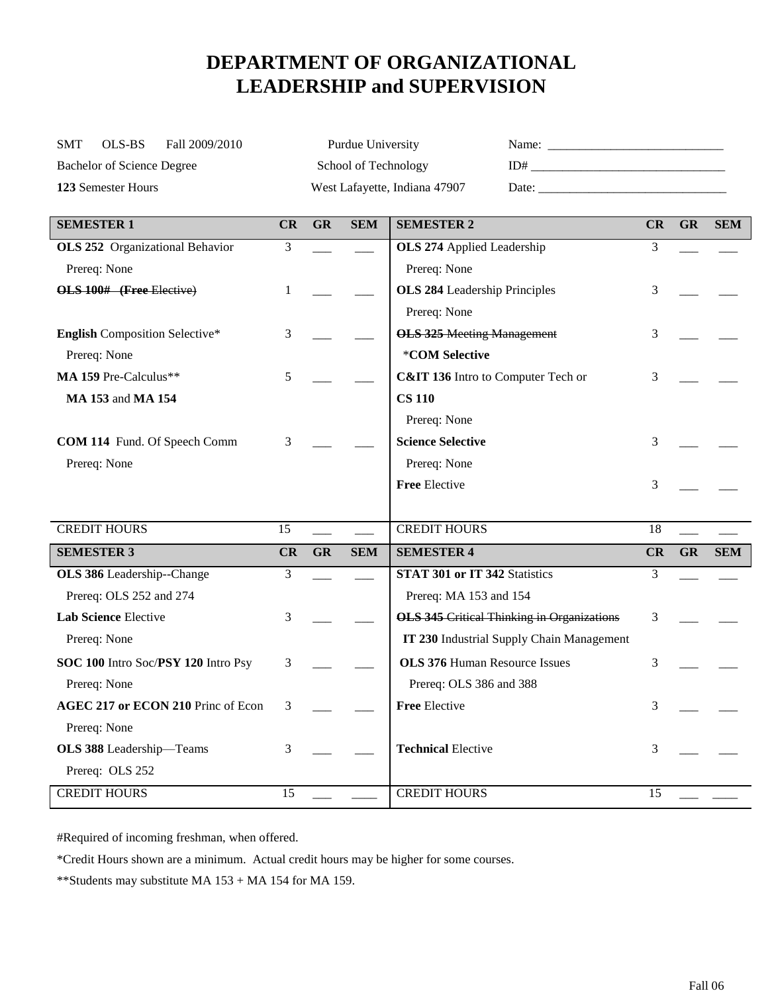## **DEPARTMENT OF ORGANIZATIONAL LEADERSHIP and SUPERVISION**

| OLS-BS<br>Fall 2009/2010<br><b>SMT</b> |    |           | Purdue University    |                                                   |    |           |            |
|----------------------------------------|----|-----------|----------------------|---------------------------------------------------|----|-----------|------------|
| <b>Bachelor of Science Degree</b>      |    |           | School of Technology |                                                   |    |           |            |
| 123 Semester Hours                     |    |           |                      | West Lafayette, Indiana 47907                     |    |           |            |
| <b>SEMESTER 1</b>                      | CR | <b>GR</b> | <b>SEM</b>           | <b>SEMESTER 2</b>                                 | CR | <b>GR</b> | <b>SEM</b> |
| OLS 252 Organizational Behavior        | 3  |           |                      | <b>OLS 274 Applied Leadership</b>                 | 3  |           |            |
| Prereq: None                           |    |           |                      | Prereq: None                                      |    |           |            |
| OLS 100# (Free Elective)               | 1  |           |                      | <b>OLS 284 Leadership Principles</b>              | 3  |           |            |
|                                        |    |           |                      | Prereq: None                                      |    |           |            |
| <b>English Composition Selective*</b>  | 3  |           |                      | <b>OLS 325 Meeting Management</b>                 | 3  |           |            |
| Prereq: None                           |    |           |                      | *COM Selective                                    |    |           |            |
| MA 159 Pre-Calculus**                  | 5  |           |                      | C&IT 136 Intro to Computer Tech or                | 3  |           |            |
| MA 153 and MA 154                      |    |           |                      | <b>CS 110</b>                                     |    |           |            |
|                                        |    |           |                      | Prereq: None                                      |    |           |            |
| <b>COM 114</b> Fund. Of Speech Comm    | 3  |           |                      | <b>Science Selective</b>                          | 3  |           |            |
| Prereq: None                           |    |           |                      | Prereq: None                                      |    |           |            |
|                                        |    |           |                      | <b>Free Elective</b>                              | 3  |           |            |
|                                        |    |           |                      |                                                   |    |           |            |
| <b>CREDIT HOURS</b>                    | 15 |           |                      | <b>CREDIT HOURS</b>                               | 18 |           |            |
| <b>SEMESTER 3</b>                      | CR | <b>GR</b> | <b>SEM</b>           | <b>SEMESTER 4</b>                                 | CR | <b>GR</b> | <b>SEM</b> |
| OLS 386 Leadership--Change             | 3  |           |                      | STAT 301 or IT 342 Statistics                     | 3  |           |            |
| Prereq: OLS 252 and 274                |    |           |                      | Prereq: MA 153 and 154                            |    |           |            |
| Lab Science Elective                   | 3  |           |                      | <b>OLS 345 Critical Thinking in Organizations</b> | 3  |           |            |
| Prereq: None                           |    |           |                      | IT 230 Industrial Supply Chain Management         |    |           |            |
| SOC 100 Intro Soc/PSY 120 Intro Psy    | 3  |           |                      | <b>OLS 376 Human Resource Issues</b>              | 3  |           |            |
| Prereq: None                           |    |           |                      | Prereq: OLS 386 and 388                           |    |           |            |
| AGEC 217 or ECON 210 Princ of Econ     | 3  |           |                      | Free Elective                                     | 3  |           |            |
| Prereq: None                           |    |           |                      |                                                   |    |           |            |
| OLS 388 Leadership-Teams               | 3  |           |                      | <b>Technical Elective</b>                         | 3  |           |            |
| Prereq: OLS 252                        |    |           |                      |                                                   |    |           |            |
| <b>CREDIT HOURS</b>                    | 15 |           |                      | <b>CREDIT HOURS</b>                               | 15 |           |            |

#Required of incoming freshman, when offered.

\*Credit Hours shown are a minimum. Actual credit hours may be higher for some courses.

\*\*Students may substitute MA 153 + MA 154 for MA 159.